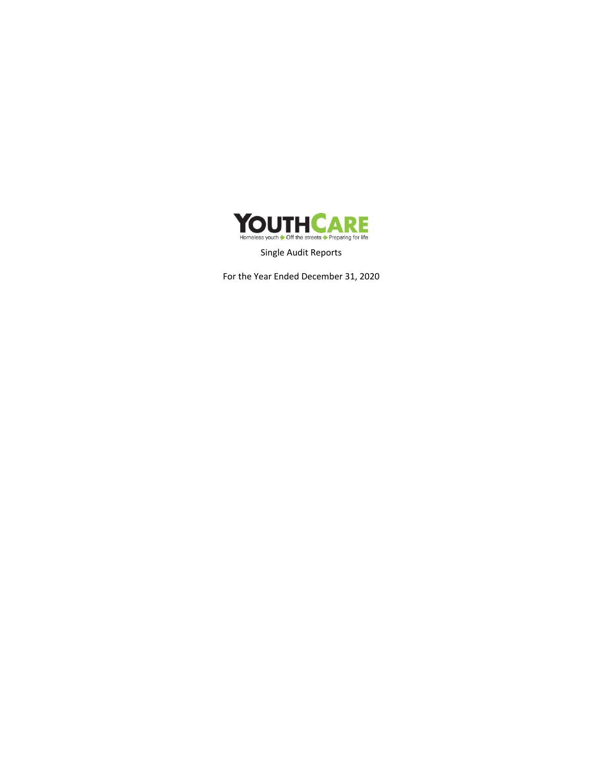

Single Audit Reports

For the Year Ended December 31, 2020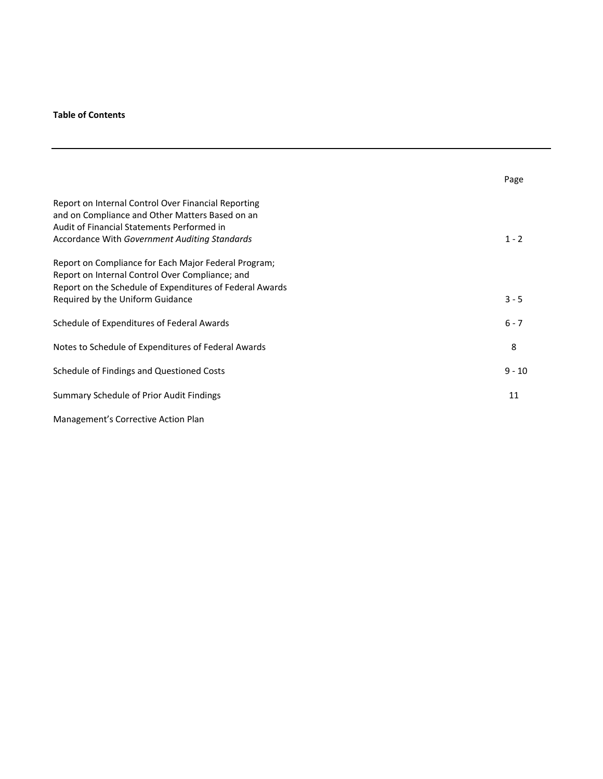#### **Table of Contents**

|                                                                                                                                                                                                         | Page     |
|---------------------------------------------------------------------------------------------------------------------------------------------------------------------------------------------------------|----------|
| Report on Internal Control Over Financial Reporting<br>and on Compliance and Other Matters Based on an<br>Audit of Financial Statements Performed in<br>Accordance With Government Auditing Standards   | $1 - 2$  |
| Report on Compliance for Each Major Federal Program;<br>Report on Internal Control Over Compliance; and<br>Report on the Schedule of Expenditures of Federal Awards<br>Required by the Uniform Guidance | $3 - 5$  |
| Schedule of Expenditures of Federal Awards                                                                                                                                                              | $6 - 7$  |
| Notes to Schedule of Expenditures of Federal Awards                                                                                                                                                     | 8        |
| Schedule of Findings and Questioned Costs                                                                                                                                                               | $9 - 10$ |
| Summary Schedule of Prior Audit Findings                                                                                                                                                                | 11       |
| Management's Corrective Action Plan                                                                                                                                                                     |          |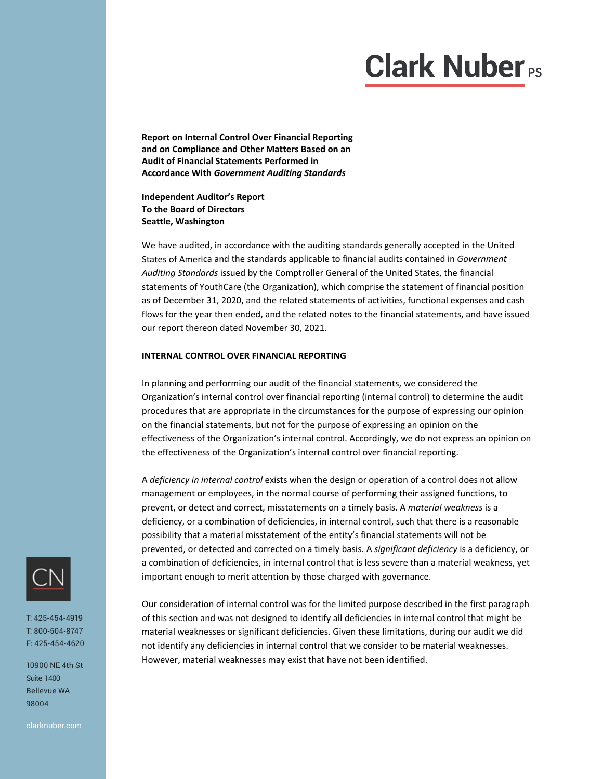**Report on Internal Control Over Financial Reporting and on Compliance and Other Matters Based on an Audit of Financial Statements Performed in Accordance With** *Government Auditing Standards*

**Independent Auditor's Report To the Board of Directors Seattle, Washington**

We have audited, in accordance with the auditing standards generally accepted in the United States of America and the standards applicable to financial audits contained in *Government Auditing Standards* issued by the Comptroller General of the United States, the financial statements of YouthCare (the Organization), which comprise the statement of financial position as of December 31, 2020, and the related statements of activities, functional expenses and cash flows for the year then ended, and the related notes to the financial statements, and have issued our report thereon dated November 30, 2021.

#### **INTERNAL CONTROL OVER FINANCIAL REPORTING**

In planning and performing our audit of the financial statements, we considered the Organization's internal control over financial reporting (internal control) to determine the audit procedures that are appropriate in the circumstances for the purpose of expressing our opinion on the financial statements, but not for the purpose of expressing an opinion on the effectiveness of the Organization's internal control. Accordingly, we do not express an opinion on the effectiveness of the Organization's internal control over financial reporting.

A *deficiency in internal control* exists when the design or operation of a control does not allow management or employees, in the normal course of performing their assigned functions, to prevent, or detect and correct, misstatements on a timely basis. A *material weakness* is a deficiency, or a combination of deficiencies, in internal control, such that there is a reasonable possibility that a material misstatement of the entity's financial statements will not be prevented, or detected and corrected on a timely basis. A *significant deficiency* is a deficiency, or a combination of deficiencies, in internal control that is less severe than a material weakness, yet important enough to merit attention by those charged with governance.

Our consideration of internal control was for the limited purpose described in the first paragraph of this section and was not designed to identify all deficiencies in internal control that might be material weaknesses or significant deficiencies. Given these limitations, during our audit we did not identify any deficiencies in internal control that we consider to be material weaknesses. However, material weaknesses may exist that have not been identified.



T: 425-454-4919 T: 800-504-8747 F: 425-454-4620

10900 NE 4th St Suite 1400 Bellevue WA 98004

clarknuber.com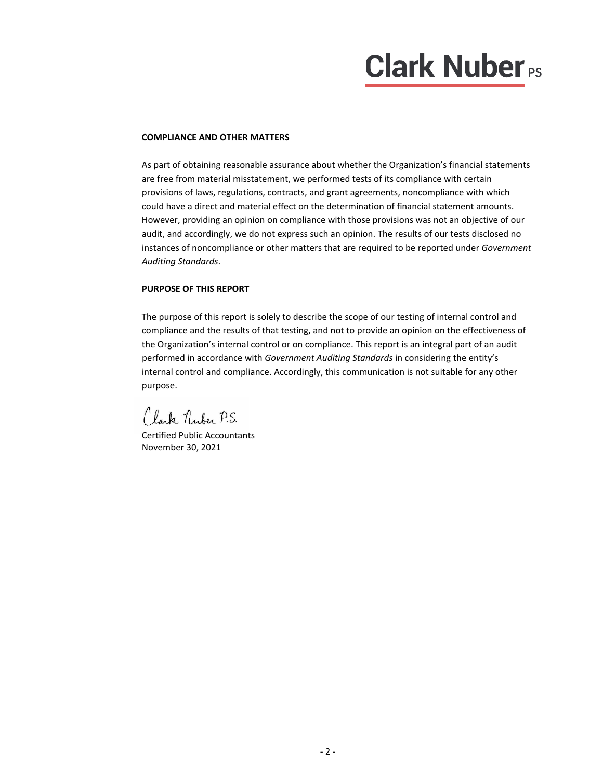#### **COMPLIANCE AND OTHER MATTERS**

As part of obtaining reasonable assurance about whether the Organization's financial statements are free from material misstatement, we performed tests of its compliance with certain provisions of laws, regulations, contracts, and grant agreements, noncompliance with which could have a direct and material effect on the determination of financial statement amounts. However, providing an opinion on compliance with those provisions was not an objective of our audit, and accordingly, we do not express such an opinion. The results of our tests disclosed no instances of noncompliance or other matters that are required to be reported under *Government Auditing Standards*.

#### **PURPOSE OF THIS REPORT**

The purpose of this report is solely to describe the scope of our testing of internal control and compliance and the results of that testing, and not to provide an opinion on the effectiveness of the Organization's internal control or on compliance. This report is an integral part of an audit performed in accordance with *Government Auditing Standards* in considering the entity's internal control and compliance. Accordingly, this communication is not suitable for any other purpose.

Clark Nuber P.S.

Certified Public Accountants November 30, 2021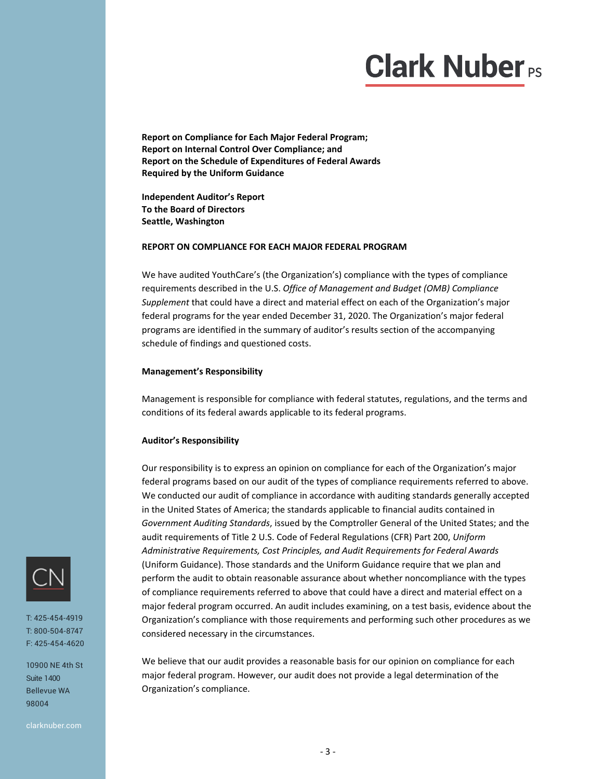**Report on Compliance for Each Major Federal Program; Report on Internal Control Over Compliance; and Report on the Schedule of Expenditures of Federal Awards Required by the Uniform Guidance**

**Independent Auditor's Report To the Board of Directors Seattle, Washington**

#### **REPORT ON COMPLIANCE FOR EACH MAJOR FEDERAL PROGRAM**

We have audited YouthCare's (the Organization's) compliance with the types of compliance requirements described in the U.S. *Office of Management and Budget (OMB) Compliance Supplement* that could have a direct and material effect on each of the Organization's major federal programs for the year ended December 31, 2020. The Organization's major federal programs are identified in the summary of auditor's results section of the accompanying schedule of findings and questioned costs.

#### **Management's Responsibility**

Management is responsible for compliance with federal statutes, regulations, and the terms and conditions of its federal awards applicable to its federal programs.

#### **Auditor's Responsibility**

Our responsibility is to express an opinion on compliance for each of the Organization's major federal programs based on our audit of the types of compliance requirements referred to above. We conducted our audit of compliance in accordance with auditing standards generally accepted in the United States of America; the standards applicable to financial audits contained in *Government Auditing Standards*, issued by the Comptroller General of the United States; and the audit requirements of Title 2 U.S. Code of Federal Regulations (CFR) Part 200, *Uniform Administrative Requirements, Cost Principles, and Audit Requirements for Federal Awards* (Uniform Guidance). Those standards and the Uniform Guidance require that we plan and perform the audit to obtain reasonable assurance about whether noncompliance with the types of compliance requirements referred to above that could have a direct and material effect on a major federal program occurred. An audit includes examining, on a test basis, evidence about the Organization's compliance with those requirements and performing such other procedures as we considered necessary in the circumstances.

We believe that our audit provides a reasonable basis for our opinion on compliance for each major federal program. However, our audit does not provide a legal determination of the Organization's compliance.



T: 425-454-4919 T: 800-504-8747 F: 425-454-4620

10900 NE 4th St Suite 1400 Bellevue WA 98004

clarknuber.com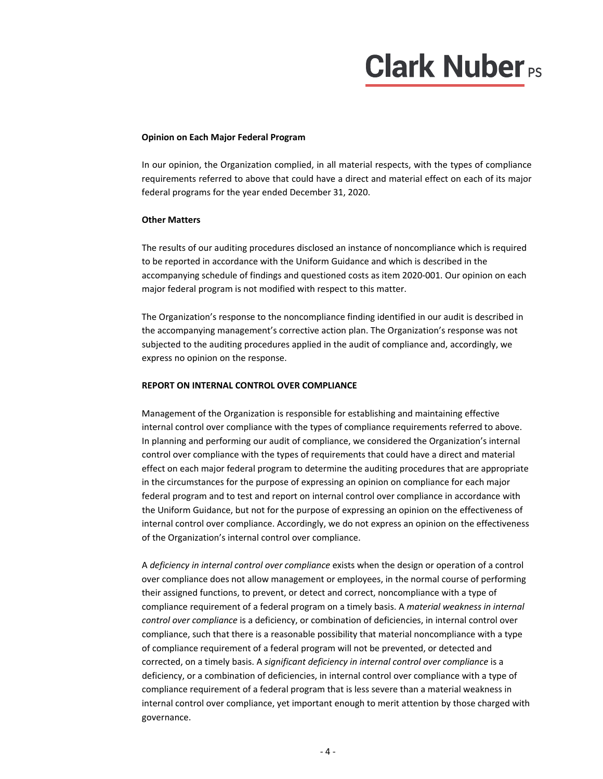#### **Opinion on Each Major Federal Program**

In our opinion, the Organization complied, in all material respects, with the types of compliance requirements referred to above that could have a direct and material effect on each of its major federal programs for the year ended December 31, 2020.

#### **Other Matters**

The results of our auditing procedures disclosed an instance of noncompliance which is required to be reported in accordance with the Uniform Guidance and which is described in the accompanying schedule of findings and questioned costs as item 2020‐001. Our opinion on each major federal program is not modified with respect to this matter.

The Organization's response to the noncompliance finding identified in our audit is described in the accompanying management's corrective action plan. The Organization's response was not subjected to the auditing procedures applied in the audit of compliance and, accordingly, we express no opinion on the response.

#### **REPORT ON INTERNAL CONTROL OVER COMPLIANCE**

Management of the Organization is responsible for establishing and maintaining effective internal control over compliance with the types of compliance requirements referred to above. In planning and performing our audit of compliance, we considered the Organization's internal control over compliance with the types of requirements that could have a direct and material effect on each major federal program to determine the auditing procedures that are appropriate in the circumstances for the purpose of expressing an opinion on compliance for each major federal program and to test and report on internal control over compliance in accordance with the Uniform Guidance, but not for the purpose of expressing an opinion on the effectiveness of internal control over compliance. Accordingly, we do not express an opinion on the effectiveness of the Organization's internal control over compliance.

A *deficiency in internal control over compliance* exists when the design or operation of a control over compliance does not allow management or employees, in the normal course of performing their assigned functions, to prevent, or detect and correct, noncompliance with a type of compliance requirement of a federal program on a timely basis. A *material weakness in internal control over compliance* is a deficiency, or combination of deficiencies, in internal control over compliance, such that there is a reasonable possibility that material noncompliance with a type of compliance requirement of a federal program will not be prevented, or detected and corrected, on a timely basis. A *significant deficiency in internal control over compliance* is a deficiency, or a combination of deficiencies, in internal control over compliance with a type of compliance requirement of a federal program that is less severe than a material weakness in internal control over compliance, yet important enough to merit attention by those charged with governance.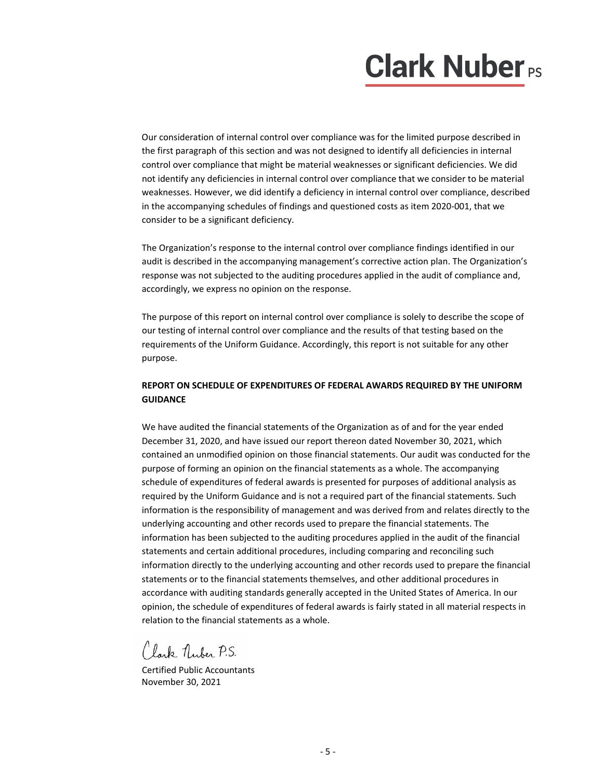Our consideration of internal control over compliance was for the limited purpose described in the first paragraph of this section and was not designed to identify all deficiencies in internal control over compliance that might be material weaknesses or significant deficiencies. We did not identify any deficiencies in internal control over compliance that we consider to be material weaknesses. However, we did identify a deficiency in internal control over compliance, described in the accompanying schedules of findings and questioned costs as item 2020‐001, that we consider to be a significant deficiency.

The Organization's response to the internal control over compliance findings identified in our audit is described in the accompanying management's corrective action plan. The Organization's response was not subjected to the auditing procedures applied in the audit of compliance and, accordingly, we express no opinion on the response.

The purpose of this report on internal control over compliance is solely to describe the scope of our testing of internal control over compliance and the results of that testing based on the requirements of the Uniform Guidance. Accordingly, this report is not suitable for any other purpose.

### **REPORT ON SCHEDULE OF EXPENDITURES OF FEDERAL AWARDS REQUIRED BY THE UNIFORM GUIDANCE**

We have audited the financial statements of the Organization as of and for the year ended December 31, 2020, and have issued our report thereon dated November 30, 2021, which contained an unmodified opinion on those financial statements. Our audit was conducted for the purpose of forming an opinion on the financial statements as a whole. The accompanying schedule of expenditures of federal awards is presented for purposes of additional analysis as required by the Uniform Guidance and is not a required part of the financial statements. Such information is the responsibility of management and was derived from and relates directly to the underlying accounting and other records used to prepare the financial statements. The information has been subjected to the auditing procedures applied in the audit of the financial statements and certain additional procedures, including comparing and reconciling such information directly to the underlying accounting and other records used to prepare the financial statements or to the financial statements themselves, and other additional procedures in accordance with auditing standards generally accepted in the United States of America. In our opinion, the schedule of expenditures of federal awards is fairly stated in all material respects in relation to the financial statements as a whole.

Clark Nuber P.S.

Certified Public Accountants November 30, 2021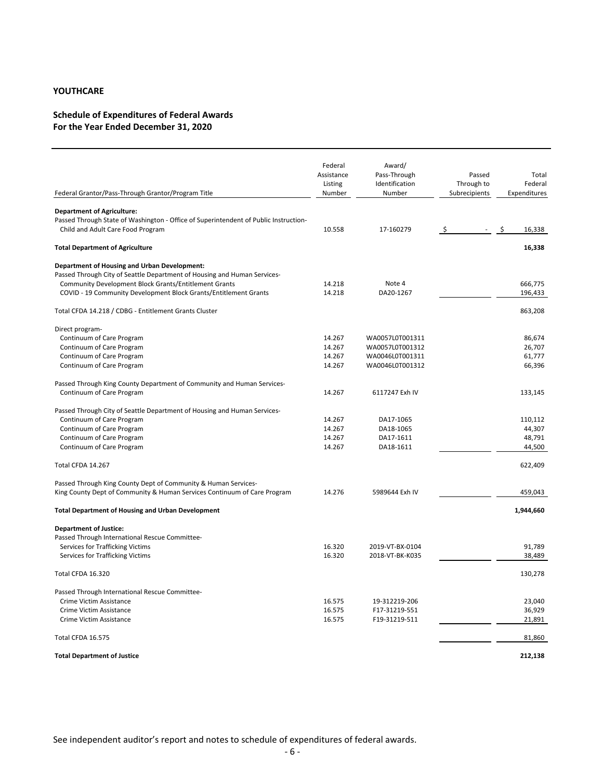### **Schedule of Expenditures of Federal Awards For the Year Ended December 31, 2020**

| Federal Grantor/Pass-Through Grantor/Program Title                                                                               | Federal<br>Assistance<br>Listing<br>Number | Award/<br>Pass-Through<br>Identification<br>Number | Passed<br>Through to<br>Subrecipients | Total<br>Federal<br>Expenditures |
|----------------------------------------------------------------------------------------------------------------------------------|--------------------------------------------|----------------------------------------------------|---------------------------------------|----------------------------------|
| <b>Department of Agriculture:</b>                                                                                                |                                            |                                                    |                                       |                                  |
| Passed Through State of Washington - Office of Superintendent of Public Instruction-<br>Child and Adult Care Food Program        | 10.558                                     | 17-160279                                          | \$                                    | - \$<br>16,338                   |
| <b>Total Department of Agriculture</b>                                                                                           |                                            |                                                    |                                       | 16,338                           |
| <b>Department of Housing and Urban Development:</b>                                                                              |                                            |                                                    |                                       |                                  |
| Passed Through City of Seattle Department of Housing and Human Services-                                                         |                                            |                                                    |                                       |                                  |
| <b>Community Development Block Grants/Entitlement Grants</b><br>COVID - 19 Community Development Block Grants/Entitlement Grants | 14.218<br>14.218                           | Note 4<br>DA20-1267                                |                                       | 666,775<br>196,433               |
| Total CFDA 14.218 / CDBG - Entitlement Grants Cluster                                                                            |                                            |                                                    |                                       | 863,208                          |
| Direct program-                                                                                                                  |                                            |                                                    |                                       |                                  |
| Continuum of Care Program                                                                                                        | 14.267                                     | WA0057L0T001311                                    |                                       | 86,674                           |
| Continuum of Care Program                                                                                                        | 14.267                                     | WA0057L0T001312                                    |                                       | 26,707                           |
| Continuum of Care Program                                                                                                        | 14.267                                     | WA0046L0T001311                                    |                                       | 61,777                           |
| Continuum of Care Program                                                                                                        | 14.267                                     | WA0046L0T001312                                    |                                       | 66,396                           |
| Passed Through King County Department of Community and Human Services-                                                           |                                            |                                                    |                                       |                                  |
| Continuum of Care Program                                                                                                        | 14.267                                     | 6117247 Exh IV                                     |                                       | 133,145                          |
| Passed Through City of Seattle Department of Housing and Human Services-                                                         |                                            |                                                    |                                       |                                  |
| Continuum of Care Program                                                                                                        | 14.267                                     | DA17-1065                                          |                                       | 110,112                          |
| Continuum of Care Program                                                                                                        | 14.267                                     | DA18-1065                                          |                                       | 44,307                           |
| Continuum of Care Program                                                                                                        | 14.267                                     | DA17-1611                                          |                                       | 48,791                           |
| Continuum of Care Program                                                                                                        | 14.267                                     | DA18-1611                                          |                                       | 44,500                           |
| Total CFDA 14.267                                                                                                                |                                            |                                                    |                                       | 622,409                          |
|                                                                                                                                  |                                            |                                                    |                                       |                                  |
| Passed Through King County Dept of Community & Human Services-                                                                   |                                            |                                                    |                                       |                                  |
| King County Dept of Community & Human Services Continuum of Care Program                                                         | 14.276                                     | 5989644 Exh IV                                     |                                       | 459,043                          |
| <b>Total Department of Housing and Urban Development</b>                                                                         |                                            |                                                    |                                       | 1,944,660                        |
| <b>Department of Justice:</b>                                                                                                    |                                            |                                                    |                                       |                                  |
| Passed Through International Rescue Committee-                                                                                   |                                            |                                                    |                                       |                                  |
| Services for Trafficking Victims                                                                                                 | 16.320                                     | 2019-VT-BX-0104                                    |                                       | 91,789                           |
| Services for Trafficking Victims                                                                                                 | 16.320                                     | 2018-VT-BK-K035                                    |                                       | 38,489                           |
| Total CFDA 16.320                                                                                                                |                                            |                                                    |                                       | 130,278                          |
| Passed Through International Rescue Committee-                                                                                   |                                            |                                                    |                                       |                                  |
| Crime Victim Assistance                                                                                                          | 16.575                                     | 19-312219-206                                      |                                       | 23,040                           |
| Crime Victim Assistance                                                                                                          | 16.575                                     | F17-31219-551                                      |                                       | 36,929                           |
| Crime Victim Assistance                                                                                                          | 16.575                                     | F19-31219-511                                      |                                       | 21,891                           |
| Total CFDA 16.575                                                                                                                |                                            |                                                    |                                       | 81,860                           |
| <b>Total Department of Justice</b>                                                                                               |                                            |                                                    |                                       | 212,138                          |

See independent auditor's report and notes to schedule of expenditures of federal awards.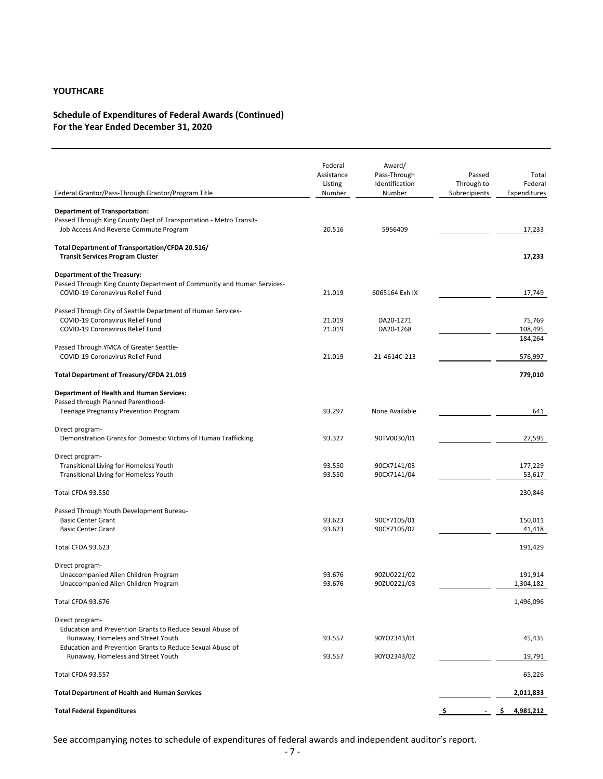### **Schedule of Expenditures of Federal Awards (Continued) For the Year Ended December 31, 2020**

|                                                                                                                                                      | Federal<br>Assistance<br>Listing | Award/<br>Pass-Through<br>Identification | Passed<br>Through to | Total<br>Federal             |
|------------------------------------------------------------------------------------------------------------------------------------------------------|----------------------------------|------------------------------------------|----------------------|------------------------------|
| Federal Grantor/Pass-Through Grantor/Program Title                                                                                                   | Number                           | Number                                   | Subrecipients        | Expenditures                 |
| <b>Department of Transportation:</b><br>Passed Through King County Dept of Transportation - Metro Transit-<br>Job Access And Reverse Commute Program | 20.516                           | 5956409                                  |                      | 17,233                       |
| Total Department of Transportation/CFDA 20.516/<br><b>Transit Services Program Cluster</b>                                                           |                                  |                                          |                      | 17,233                       |
| <b>Department of the Treasury:</b><br>Passed Through King County Department of Community and Human Services-<br>COVID-19 Coronavirus Relief Fund     | 21.019                           | 6065164 Exh IX                           |                      | 17,749                       |
| Passed Through City of Seattle Department of Human Services-<br>COVID-19 Coronavirus Relief Fund<br>COVID-19 Coronavirus Relief Fund                 | 21.019<br>21.019                 | DA20-1271<br>DA20-1268                   |                      | 75,769<br>108,495<br>184,264 |
| Passed Through YMCA of Greater Seattle-<br>COVID-19 Coronavirus Relief Fund                                                                          | 21.019                           | 21-4614C-213                             |                      | 576,997                      |
| Total Department of Treasury/CFDA 21.019                                                                                                             |                                  |                                          |                      | 779,010                      |
| <b>Department of Health and Human Services:</b><br>Passed through Planned Parenthood-<br>Teenage Pregnancy Prevention Program                        | 93.297                           | None Available                           |                      | 641                          |
| Direct program-<br>Demonstration Grants for Domestic Victims of Human Trafficking                                                                    | 93.327                           | 90TV0030/01                              |                      | 27,595                       |
| Direct program-<br>Transitional Living for Homeless Youth<br><b>Transitional Living for Homeless Youth</b>                                           | 93.550<br>93.550                 | 90CX7141/03<br>90CX7141/04               |                      | 177,229<br>53,617            |
| Total CFDA 93.550                                                                                                                                    |                                  |                                          |                      | 230,846                      |
| Passed Through Youth Development Bureau-<br><b>Basic Center Grant</b><br><b>Basic Center Grant</b><br>Total CFDA 93.623                              | 93.623<br>93.623                 | 90CY7105/01<br>90CY7105/02               |                      | 150,011<br>41,418<br>191,429 |
| Direct program-<br>Unaccompanied Alien Children Program<br>Unaccompanied Alien Children Program                                                      | 93.676<br>93.676                 | 90ZU0221/02<br>90ZU0221/03               |                      | 191,914<br>1,304,182         |
| Total CFDA 93.676                                                                                                                                    |                                  |                                          |                      | 1,496,096                    |
| Direct program-<br>Education and Prevention Grants to Reduce Sexual Abuse of<br>Runaway, Homeless and Street Youth                                   | 93.557                           | 90YO2343/01                              |                      | 45,435                       |
| Education and Prevention Grants to Reduce Sexual Abuse of<br>Runaway, Homeless and Street Youth                                                      | 93.557                           | 90YO2343/02                              |                      | 19,791                       |
|                                                                                                                                                      |                                  |                                          |                      |                              |
| Total CFDA 93.557                                                                                                                                    |                                  |                                          |                      | 65,226                       |
| <b>Total Department of Health and Human Services</b>                                                                                                 |                                  |                                          |                      | 2,011,833                    |
| <b>Total Federal Expenditures</b>                                                                                                                    |                                  |                                          |                      | 4,981,212<br>\$              |

See accompanying notes to schedule of expenditures of federal awards and independent auditor's report.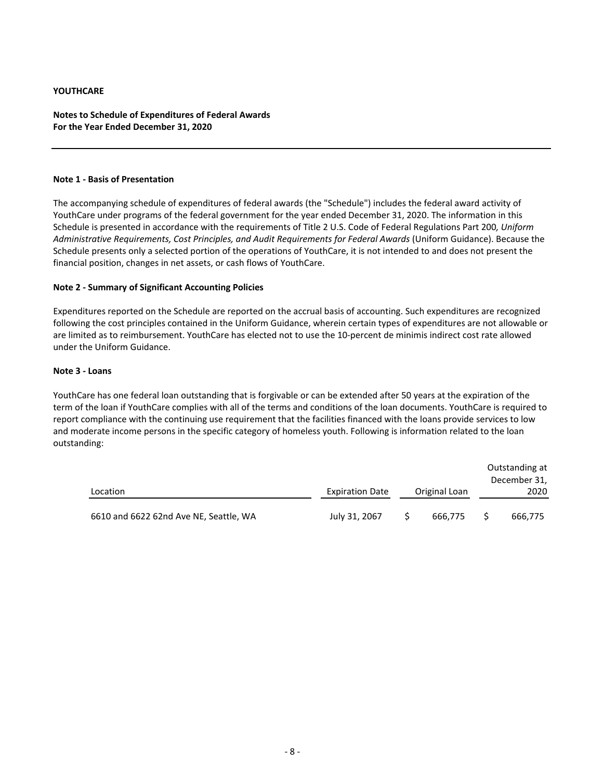#### **Notes to Schedule of Expenditures of Federal Awards For the Year Ended December 31, 2020**

#### **Note 1 ‐ Basis of Presentation**

The accompanying schedule of expenditures of federal awards (the "Schedule") includes the federal award activity of YouthCare under programs of the federal government for the year ended December 31, 2020. The information in this Schedule is presented in accordance with the requirements of Title 2 U.S. Code of Federal Regulations Part 200*, Uniform Administrative Requirements, Cost Principles, and Audit Requirements for Federal Awards* (Uniform Guidance). Because the Schedule presents only a selected portion of the operations of YouthCare, it is not intended to and does not present the financial position, changes in net assets, or cash flows of YouthCare.

#### **Note 2 ‐ Summary of Significant Accounting Policies**

Expenditures reported on the Schedule are reported on the accrual basis of accounting. Such expenditures are recognized following the cost principles contained in the Uniform Guidance, wherein certain types of expenditures are not allowable or are limited as to reimbursement. YouthCare has elected not to use the 10‐percent de minimis indirect cost rate allowed under the Uniform Guidance.

#### **Note 3 ‐ Loans**

YouthCare has one federal loan outstanding that is forgivable or can be extended after 50 years at the expiration of the term of the loan if YouthCare complies with all of the terms and conditions of the loan documents. YouthCare is required to report compliance with the continuing use requirement that the facilities financed with the loans provide services to low and moderate income persons in the specific category of homeless youth. Following is information related to the loan outstanding:

|                                        |                        |               | Outstanding at<br>December 31, |
|----------------------------------------|------------------------|---------------|--------------------------------|
| Location                               | <b>Expiration Date</b> | Original Loan | 2020                           |
| 6610 and 6622 62nd Ave NE, Seattle, WA | July 31, 2067          | 666.775       | 666,775                        |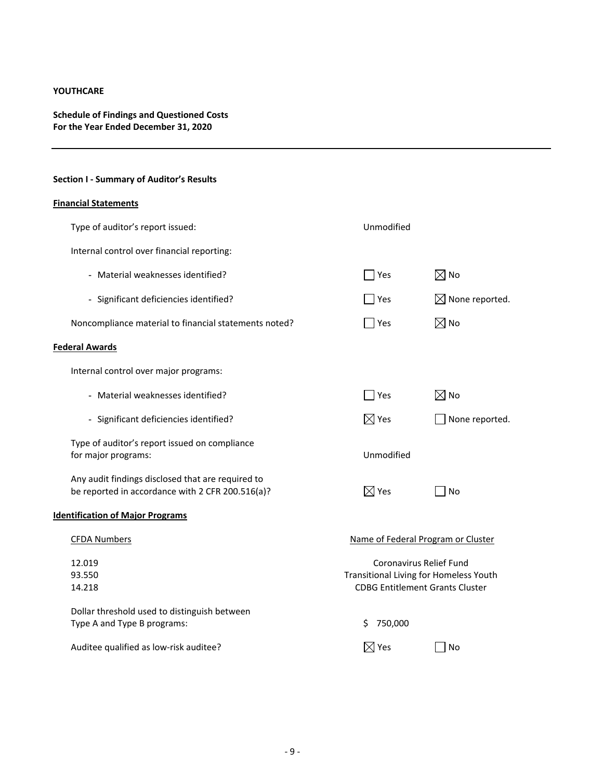### **Schedule of Findings and Questioned Costs For the Year Ended December 31, 2020**

## **Section I ‐ Summary of Auditor's Results**

#### **Financial Statements**

| Type of auditor's report issued:                                                                      | Unmodified                                                                                                  |                                    |  |
|-------------------------------------------------------------------------------------------------------|-------------------------------------------------------------------------------------------------------------|------------------------------------|--|
| Internal control over financial reporting:                                                            |                                                                                                             |                                    |  |
| - Material weaknesses identified?                                                                     | $ $ Yes                                                                                                     | $\boxtimes$ No                     |  |
| - Significant deficiencies identified?                                                                | Yes                                                                                                         | $\boxtimes$ None reported.         |  |
| Noncompliance material to financial statements noted?                                                 | $\exists$ Yes                                                                                               | $\boxtimes$ No                     |  |
| <b>Federal Awards</b>                                                                                 |                                                                                                             |                                    |  |
| Internal control over major programs:                                                                 |                                                                                                             |                                    |  |
| - Material weaknesses identified?                                                                     | Yes                                                                                                         | $\boxtimes$ No                     |  |
| - Significant deficiencies identified?                                                                | $\boxtimes$ Yes                                                                                             | None reported.                     |  |
| Type of auditor's report issued on compliance<br>for major programs:                                  | Unmodified                                                                                                  |                                    |  |
| Any audit findings disclosed that are required to<br>be reported in accordance with 2 CFR 200.516(a)? | $\boxtimes$ Yes                                                                                             | <b>No</b>                          |  |
| <b>Identification of Major Programs</b>                                                               |                                                                                                             |                                    |  |
| <b>CFDA Numbers</b>                                                                                   |                                                                                                             | Name of Federal Program or Cluster |  |
| 12.019<br>93.550<br>14.218                                                                            | Coronavirus Relief Fund<br>Transitional Living for Homeless Youth<br><b>CDBG Entitlement Grants Cluster</b> |                                    |  |
| Dollar threshold used to distinguish between<br>Type A and Type B programs:                           | 750,000<br>\$                                                                                               |                                    |  |
| Auditee qualified as low-risk auditee?                                                                | $\boxtimes$ Yes                                                                                             | No                                 |  |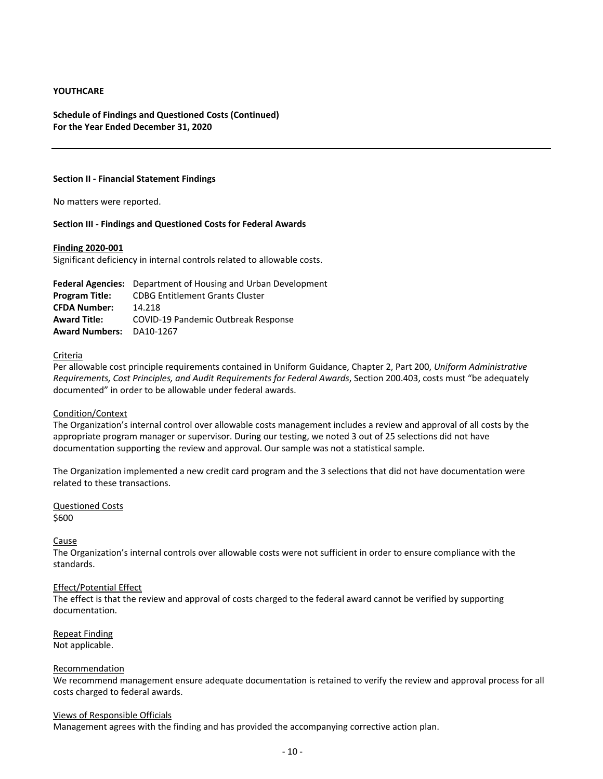#### **Schedule of Findings and Questioned Costs (Continued) For the Year Ended December 31, 2020**

#### **Section II ‐ Financial Statement Findings**

No matters were reported.

#### **Section III ‐ Findings and Questioned Costs for Federal Awards**

#### **Finding 2020‐001**

Significant deficiency in internal controls related to allowable costs.

|                                 | <b>Federal Agencies:</b> Department of Housing and Urban Development |
|---------------------------------|----------------------------------------------------------------------|
| <b>Program Title:</b>           | <b>CDBG Entitlement Grants Cluster</b>                               |
| <b>CFDA Number:</b>             | 14.218                                                               |
| <b>Award Title:</b>             | COVID-19 Pandemic Outbreak Response                                  |
| <b>Award Numbers: DA10-1267</b> |                                                                      |

#### Criteria

Per allowable cost principle requirements contained in Uniform Guidance, Chapter 2, Part 200, *Uniform Administrative Requirements, Cost Principles, and Audit Requirements for Federal Awards*, Section 200.403, costs must "be adequately documented" in order to be allowable under federal awards.

#### Condition/Context

The Organization's internal control over allowable costs management includes a review and approval of all costs by the appropriate program manager or supervisor. During our testing, we noted 3 out of 25 selections did not have documentation supporting the review and approval. Our sample was not a statistical sample.

The Organization implemented a new credit card program and the 3 selections that did not have documentation were related to these transactions.

Questioned Costs \$600

#### Cause

The Organization's internal controls over allowable costs were not sufficient in order to ensure compliance with the standards.

#### Effect/Potential Effect

The effect is that the review and approval of costs charged to the federal award cannot be verified by supporting documentation.

# Repeat Finding

Not applicable.

#### Recommendation

We recommend management ensure adequate documentation is retained to verify the review and approval process for all costs charged to federal awards.

#### Views of Responsible Officials

Management agrees with the finding and has provided the accompanying corrective action plan.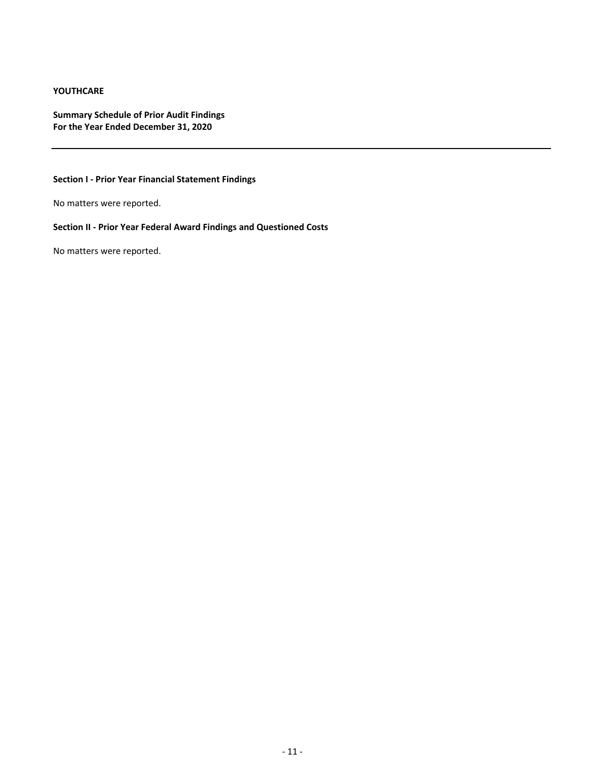**Summary Schedule of Prior Audit Findings For the Year Ended December 31, 2020**

#### **Section I ‐ Prior Year Financial Statement Findings**

No matters were reported.

**Section II ‐ Prior Year Federal Award Findings and Questioned Costs**

No matters were reported.